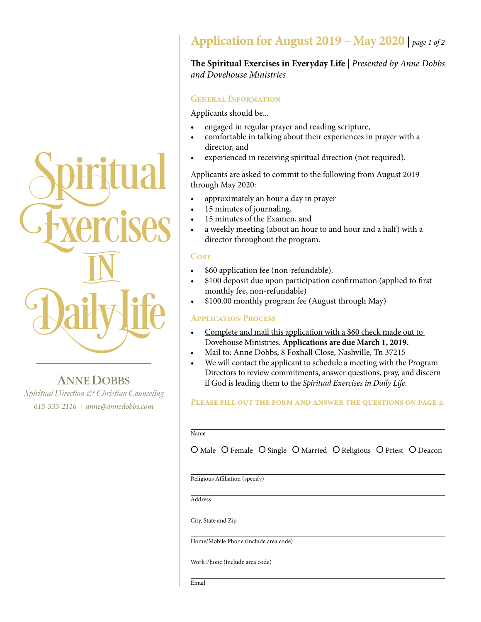

ANNE DOBBS *Spiritual Direction & Christian Counseling 615-533-2116 | anne@annedobbs.com*

## **Application for August 2019 – May 2020 |** *page 1 of 2*

### **The Spiritual Exercises in Everyday Life |** *Presented by Anne Dobbs and Dovehouse Ministries*

### **General Information**

Applicants should be...

- engaged in regular prayer and reading scripture,
- comfortable in talking about their experiences in prayer with a director, and
- experienced in receiving spiritual direction (not required).

Applicants are asked to commit to the following from August 2019 through May 2020:

- • approximately an hour a day in prayer
- 15 minutes of journaling,
- 15 minutes of the Examen, and
- a weekly meeting (about an hour to and hour and a half) with a director throughout the program.

### **Cost**

- \$60 application fee (non-refundable).
- \$100 deposit due upon participation confirmation (applied to first monthly fee, non-refundable)
- \$100.00 monthly program fee (August through May)

### **Application Process**

- Complete and mail this application with a \$60 check made out to Dovehouse Ministries. **Applications are due March 1, 2019.**
- Mail to: Anne Dobbs, 8 Foxhall Close, Nashville, Tn 37215
- We will contact the applicant to schedule a meeting with the Program Directors to review commitments, answer questions, pray, and discern if God is leading them to the *Spiritual Exercises in Daily Life*.

### **Please fill out the form and answer the questions on page 2.**

Name

O Male O Female O Single O Married O Religious O Priest O Deacon

Religious Affiliation (specify)

Address

City, State and Zip

Home/Mobile Phone (include area code)

Work Phone (include area code)

Email